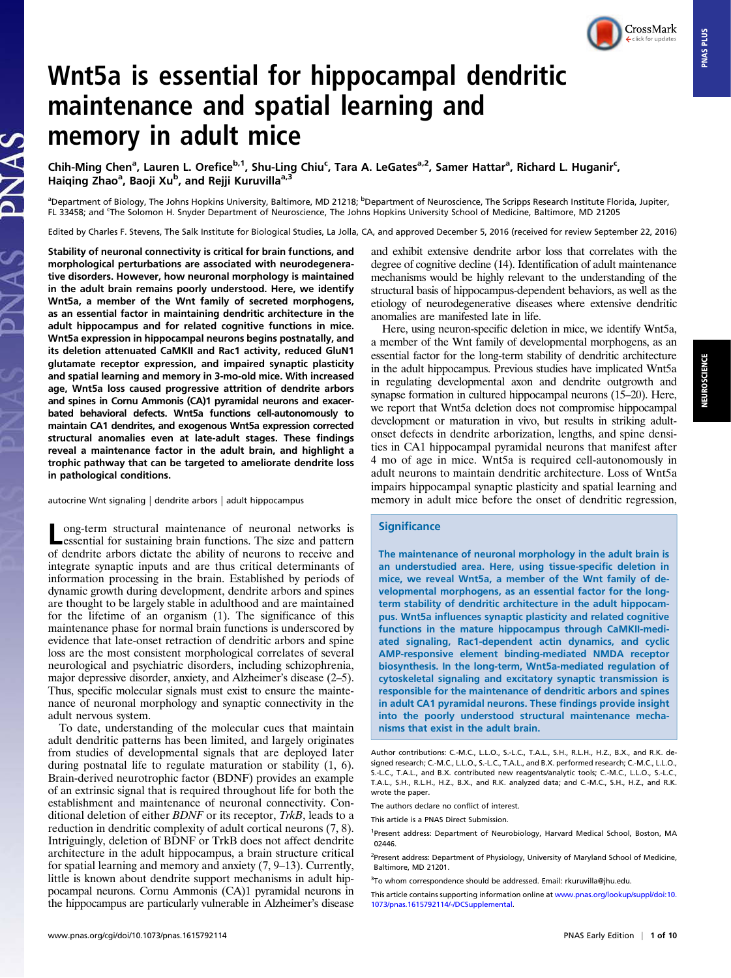CrossMark

# Wnt5a is essential for hippocampal dendritic maintenance and spatial learning and memory in adult mice

Chih-Ming Chen<sup>a</sup>, Lauren L. Orefice<sup>b,1</sup>, Shu-Ling Chiu<sup>c</sup>, Tara A. LeGates<sup>a,2</sup>, Samer Hattar<sup>a</sup>, Richard L. Huganir<sup>c</sup>, Haiqing Zhao<sup>a</sup>, Baoji Xu<sup>b</sup>, and Rejji Kuruvilla<sup>a,3</sup>

<sup>a</sup>Department of Biology, The Johns Hopkins University, Baltimore, MD 21218; <sup>b</sup>Department of Neuroscience, The Scripps Research Institute Florida, Jupiter, FL 33458; and 'The Solomon H. Snyder Department of Neuroscience, The Johns Hopkins University School of Medicine, Baltimore, MD 21205

Edited by Charles F. Stevens, The Salk Institute for Biological Studies, La Jolla, CA, and approved December 5, 2016 (received for review September 22, 2016)

Stability of neuronal connectivity is critical for brain functions, and morphological perturbations are associated with neurodegenerative disorders. However, how neuronal morphology is maintained in the adult brain remains poorly understood. Here, we identify Wnt5a, a member of the Wnt family of secreted morphogens, as an essential factor in maintaining dendritic architecture in the adult hippocampus and for related cognitive functions in mice. Wnt5a expression in hippocampal neurons begins postnatally, and its deletion attenuated CaMKII and Rac1 activity, reduced GluN1 glutamate receptor expression, and impaired synaptic plasticity and spatial learning and memory in 3-mo-old mice. With increased age, Wnt5a loss caused progressive attrition of dendrite arbors and spines in Cornu Ammonis (CA)1 pyramidal neurons and exacerbated behavioral defects. Wnt5a functions cell-autonomously to maintain CA1 dendrites, and exogenous Wnt5a expression corrected structural anomalies even at late-adult stages. These findings reveal a maintenance factor in the adult brain, and highlight a trophic pathway that can be targeted to ameliorate dendrite loss in pathological conditions.

autocrine Wnt signaling | dendrite arbors | adult hippocampus

ong-term structural maintenance of neuronal networks is essential for sustaining brain functions. The size and pattern of dendrite arbors dictate the ability of neurons to receive and integrate synaptic inputs and are thus critical determinants of information processing in the brain. Established by periods of dynamic growth during development, dendrite arbors and spines are thought to be largely stable in adulthood and are maintained for the lifetime of an organism (1). The significance of this maintenance phase for normal brain functions is underscored by evidence that late-onset retraction of dendritic arbors and spine loss are the most consistent morphological correlates of several neurological and psychiatric disorders, including schizophrenia, major depressive disorder, anxiety, and Alzheimer's disease (2–5). Thus, specific molecular signals must exist to ensure the maintenance of neuronal morphology and synaptic connectivity in the adult nervous system.

To date, understanding of the molecular cues that maintain adult dendritic patterns has been limited, and largely originates from studies of developmental signals that are deployed later during postnatal life to regulate maturation or stability (1, 6). Brain-derived neurotrophic factor (BDNF) provides an example of an extrinsic signal that is required throughout life for both the establishment and maintenance of neuronal connectivity. Conditional deletion of either BDNF or its receptor, TrkB, leads to a reduction in dendritic complexity of adult cortical neurons (7, 8). Intriguingly, deletion of BDNF or TrkB does not affect dendrite architecture in the adult hippocampus, a brain structure critical for spatial learning and memory and anxiety (7, 9–13). Currently, little is known about dendrite support mechanisms in adult hippocampal neurons. Cornu Ammonis (CA)1 pyramidal neurons in the hippocampus are particularly vulnerable in Alzheimer's disease and exhibit extensive dendrite arbor loss that correlates with the degree of cognitive decline (14). Identification of adult maintenance mechanisms would be highly relevant to the understanding of the structural basis of hippocampus-dependent behaviors, as well as the etiology of neurodegenerative diseases where extensive dendritic anomalies are manifested late in life.

Here, using neuron-specific deletion in mice, we identify Wnt5a, a member of the Wnt family of developmental morphogens, as an essential factor for the long-term stability of dendritic architecture in the adult hippocampus. Previous studies have implicated Wnt5a in regulating developmental axon and dendrite outgrowth and synapse formation in cultured hippocampal neurons (15–20). Here, we report that Wnt5a deletion does not compromise hippocampal development or maturation in vivo, but results in striking adultonset defects in dendrite arborization, lengths, and spine densities in CA1 hippocampal pyramidal neurons that manifest after 4 mo of age in mice. Wnt5a is required cell-autonomously in adult neurons to maintain dendritic architecture. Loss of Wnt5a impairs hippocampal synaptic plasticity and spatial learning and memory in adult mice before the onset of dendritic regression,

## **Significance**

The maintenance of neuronal morphology in the adult brain is an understudied area. Here, using tissue-specific deletion in mice, we reveal Wnt5a, a member of the Wnt family of developmental morphogens, as an essential factor for the longterm stability of dendritic architecture in the adult hippocampus. Wnt5a influences synaptic plasticity and related cognitive functions in the mature hippocampus through CaMKII-mediated signaling, Rac1-dependent actin dynamics, and cyclic AMP-responsive element binding-mediated NMDA receptor biosynthesis. In the long-term, Wnt5a-mediated regulation of cytoskeletal signaling and excitatory synaptic transmission is responsible for the maintenance of dendritic arbors and spines in adult CA1 pyramidal neurons. These findings provide insight into the poorly understood structural maintenance mechanisms that exist in the adult brain.

The authors declare no conflict of interest.

This article is a PNAS Direct Submission.

<sup>1</sup>Present address: Department of Neurobiology, Harvard Medical School, Boston, MA 02446.

<sup>2</sup>Present address: Department of Physiology, University of Maryland School of Medicine, Baltimore, MD 21201.

Author contributions: C.-M.C., L.L.O., S.-L.C., T.A.L., S.H., R.L.H., H.Z., B.X., and R.K. designed research; C.-M.C., L.L.O., S.-L.C., T.A.L., and B.X. performed research; C.-M.C., L.L.O., S.-L.C., T.A.L., and B.X. contributed new reagents/analytic tools; C.-M.C., L.L.O., S.-L.C., T.A.L., S.H., R.L.H., H.Z., B.X., and R.K. analyzed data; and C.-M.C., S.H., H.Z., and R.K. wrote the paper.

<sup>&</sup>lt;sup>3</sup>To whom correspondence should be addressed. Email: rkuruvilla@jhu.edu.

This article contains supporting information online at www.pnas.org/lookup/suppl/doi:10. [1073/pnas.1615792114/-/DCSupplemental](http://www.pnas.org/lookup/suppl/doi:10.1073/pnas.1615792114/-/DCSupplemental).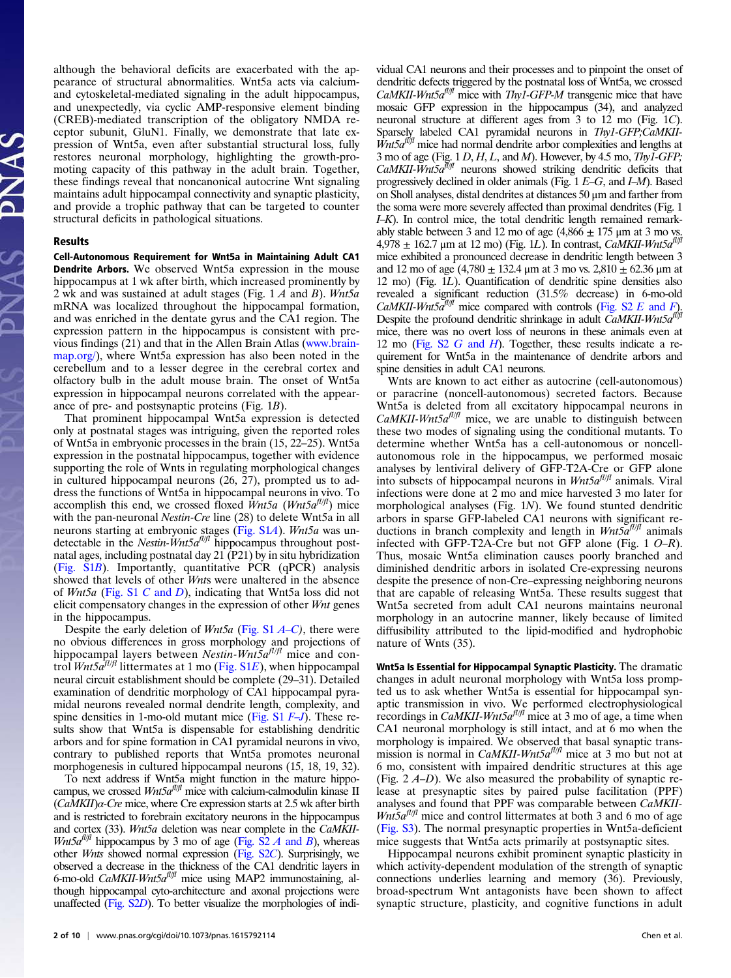although the behavioral deficits are exacerbated with the appearance of structural abnormalities. Wnt5a acts via calciumand cytoskeletal-mediated signaling in the adult hippocampus, and unexpectedly, via cyclic AMP-responsive element binding (CREB)-mediated transcription of the obligatory NMDA receptor subunit, GluN1. Finally, we demonstrate that late expression of Wnt5a, even after substantial structural loss, fully restores neuronal morphology, highlighting the growth-promoting capacity of this pathway in the adult brain. Together, these findings reveal that noncanonical autocrine Wnt signaling maintains adult hippocampal connectivity and synaptic plasticity, and provide a trophic pathway that can be targeted to counter structural deficits in pathological situations.

#### Results

Cell-Autonomous Requirement for Wnt5a in Maintaining Adult CA1 Dendrite Arbors. We observed Wnt5a expression in the mouse hippocampus at 1 wk after birth, which increased prominently by 2 wk and was sustained at adult stages (Fig.  $1 \text{ } A$  and  $B$ ). Wnt5a mRNA was localized throughout the hippocampal formation, and was enriched in the dentate gyrus and the CA1 region. The expression pattern in the hippocampus is consistent with previous findings (21) and that in the Allen Brain Atlas (www.brain[map.org/\)](http://www.brain-map.org/), where Wnt5a expression has also been noted in the cerebellum and to a lesser degree in the cerebral cortex and olfactory bulb in the adult mouse brain. The onset of Wnt5a expression in hippocampal neurons correlated with the appearance of pre- and postsynaptic proteins (Fig. 1B).

That prominent hippocampal Wnt5a expression is detected only at postnatal stages was intriguing, given the reported roles of Wnt5a in embryonic processes in the brain (15, 22–25). Wnt5a expression in the postnatal hippocampus, together with evidence supporting the role of Wnts in regulating morphological changes in cultured hippocampal neurons (26, 27), prompted us to address the functions of Wnt5a in hippocampal neurons in vivo. To accomplish this end, we crossed floxed  $\overline{W}$ nt5a (Wnt5a<sup>fl/fl</sup>) mice with the pan-neuronal *Nestin-Cre* line (28) to delete Wnt5a in all neurons starting at embryonic stages (Fig. S1A). Wnt5a was undetectable in the Nestin- $Wnt5a^{fl/f}$  hippocampus throughout postnatal ages, including postnatal day 21 (P21) by in situ hybridization [\(Fig. S1](http://www.pnas.org/lookup/suppl/doi:10.1073/pnas.1615792114/-/DCSupplemental/pnas.201615792SI.pdf?targetid=nameddest=SF1)B). Importantly, quantitative PCR (qPCR) analysis showed that levels of other Wnts were unaltered in the absence of Wnt5a [\(Fig. S1](http://www.pnas.org/lookup/suppl/doi:10.1073/pnas.1615792114/-/DCSupplemental/pnas.201615792SI.pdf?targetid=nameddest=SF1) C and D), indicating that Wnt5a loss did not elicit compensatory changes in the expression of other Wnt genes in the hippocampus.

Despite the early deletion of  $Wnt5a$  [\(Fig. S1](http://www.pnas.org/lookup/suppl/doi:10.1073/pnas.1615792114/-/DCSupplemental/pnas.201615792SI.pdf?targetid=nameddest=SF1)  $A-C$  $A-C$ ), there were no obvious differences in gross morphology and projections of hippocampal layers between Nestin-Wnt5 $a^{fl/f}$  mice and control  $Wnt5a^{fl/fl}$  littermates at 1 mo ([Fig. S1](http://www.pnas.org/lookup/suppl/doi:10.1073/pnas.1615792114/-/DCSupplemental/pnas.201615792SI.pdf?targetid=nameddest=SF1)E), when hippocampal neural circuit establishment should be complete (29–31). Detailed examination of dendritic morphology of CA1 hippocampal pyramidal neurons revealed normal dendrite length, complexity, and spine densities in 1-mo-old mutant mice (Fig.  $S1$   $F-J$  $F-J$ ). These results show that Wnt5a is dispensable for establishing dendritic arbors and for spine formation in CA1 pyramidal neurons in vivo, contrary to published reports that Wnt5a promotes neuronal morphogenesis in cultured hippocampal neurons (15, 18, 19, 32).

To next address if Wnt5a might function in the mature hippocampus, we crossed  $Wnt5a^{fl/f}$  mice with calcium-calmodulin kinase II  $(CaMKII)\alpha$ -Cre mice, where Cre expression starts at 2.5 wk after birth and is restricted to forebrain excitatory neurons in the hippocampus and cortex (33). Wnt5a deletion was near complete in the CaMKII-Wnt5 $a^{f l / f l}$  hippocampus by 3 mo of age (Fig. S2 A and B), whereas other Wnts showed normal expression [\(Fig. S2](http://www.pnas.org/lookup/suppl/doi:10.1073/pnas.1615792114/-/DCSupplemental/pnas.201615792SI.pdf?targetid=nameddest=SF2)C). Surprisingly, we observed a decrease in the thickness of the CA1 dendritic layers in 6-mo-old CaMKII-Wnt5 $a^{ft/f}$  mice using MAP2 immunostaining, although hippocampal cyto-architecture and axonal projections were unaffected [\(Fig. S2](http://www.pnas.org/lookup/suppl/doi:10.1073/pnas.1615792114/-/DCSupplemental/pnas.201615792SI.pdf?targetid=nameddest=SF2)D). To better visualize the morphologies of individual CA1 neurons and their processes and to pinpoint the onset of dendritic defects triggered by the postnatal loss of Wnt5a, we crossed  $CaMKII-Wnt5a<sup>fl/f</sup>$  mice with Thy1-GFP-M transgenic mice that have mosaic GFP expression in the hippocampus (34), and analyzed neuronal structure at different ages from 3 to 12 mo (Fig. 1C). Sparsely labeled CA1 pyramidal neurons in Thy1-GFP;CaMKII- $\hat{W}$ nt5 $a^{f\bar{f}/f}$  mice had normal dendrite arbor complexities and lengths at 3 mo of age (Fig.  $1 D, H, L$ , and *M*). However, by 4.5 mo, *ThyI*-GFP; CaMKII-Wnt5a $\frac{\partial}{\partial t}$  neurons showed striking dendritic deficits that progressively declined in older animals (Fig. 1 E–G, and I–M). Based on Sholl analyses, distal dendrites at distances 50 μm and farther from the soma were more severely affected than proximal dendrites (Fig. 1 I–K). In control mice, the total dendritic length remained remarkably stable between 3 and 12 mo of age  $(4,866 \pm 175 \,\mathrm{\upmu m})$  at 3 mo vs.  $4,978 \pm 162.7$  µm at 12 mo) (Fig. 1L). In contrast, *CaMKII-Wnt5a<sup>fl/fl</sup>* mice exhibited a pronounced decrease in dendritic length between 3 and 12 mo of age  $(4,780 \pm 132.4 \,\mu m$  at 3 mo vs.  $2,810 \pm 62.36 \,\mu m$  at 12 mo) (Fig. 1L). Quantification of dendritic spine densities also revealed a significant reduction (31.5% decrease) in 6-mo-old CaMKII-Wnt5 $a^{fl/f}$  mice compared with controls [\(Fig. S2](http://www.pnas.org/lookup/suppl/doi:10.1073/pnas.1615792114/-/DCSupplemental/pnas.201615792SI.pdf?targetid=nameddest=SF2) E and F). Despite the profound dendritic shrinkage in adult  $\ddot{CaMKII-Wnt5a}$ fl/fl mice, there was no overt loss of neurons in these animals even at 12 mo (Fig.  $S2$  G and H). Together, these results indicate a requirement for Wnt5a in the maintenance of dendrite arbors and spine densities in adult CA1 neurons.

Wnts are known to act either as autocrine (cell-autonomous) or paracrine (noncell-autonomous) secreted factors. Because Wnt5a is deleted from all excitatory hippocampal neurons in  $CaMKII-Wnt5a<sup>f1/f1</sup>$  mice, we are unable to distinguish between these two modes of signaling using the conditional mutants. To determine whether Wnt5a has a cell-autonomous or noncellautonomous role in the hippocampus, we performed mosaic analyses by lentiviral delivery of GFP-T2A-Cre or GFP alone into subsets of hippocampal neurons in  $Wnt5a^{fl/f}$  animals. Viral infections were done at 2 mo and mice harvested 3 mo later for morphological analyses (Fig. 1N). We found stunted dendritic arbors in sparse GFP-labeled CA1 neurons with significant reductions in branch complexity and length in  $Wnt5a^{fl/f}$  animals infected with GFP-T2A-Cre but not GFP alone (Fig. 1 O–R). Thus, mosaic Wnt5a elimination causes poorly branched and diminished dendritic arbors in isolated Cre-expressing neurons despite the presence of non-Cre–expressing neighboring neurons that are capable of releasing Wnt5a. These results suggest that Wnt5a secreted from adult CA1 neurons maintains neuronal morphology in an autocrine manner, likely because of limited diffusibility attributed to the lipid-modified and hydrophobic nature of Wnts (35).

Wnt5a Is Essential for Hippocampal Synaptic Plasticity. The dramatic changes in adult neuronal morphology with Wnt5a loss prompted us to ask whether Wnt5a is essential for hippocampal synaptic transmission in vivo. We performed electrophysiological recordings in *CaMKII-Wnt5a<sup>fl/fl</sup>* mice at 3 mo of age, a time when CA1 neuronal morphology is still intact, and at 6 mo when the morphology is impaired. We observed that basal synaptic transmission is normal in CaMKII-Wnt5 $a^{fl/f}$  mice at 3 mo but not at 6 mo, consistent with impaired dendritic structures at this age (Fig. 2 A–D). We also measured the probability of synaptic release at presynaptic sites by paired pulse facilitation (PPF) analyses and found that PPF was comparable between CaMKII- $Wnt5a<sup>f1/f1</sup>$  mice and control littermates at both 3 and 6 mo of age (Fig. S3). The normal presynaptic properties in Wnt5a-deficient mice suggests that Wnt5a acts primarily at postsynaptic sites.

Hippocampal neurons exhibit prominent synaptic plasticity in which activity-dependent modulation of the strength of synaptic connections underlies learning and memory (36). Previously, broad-spectrum Wnt antagonists have been shown to affect synaptic structure, plasticity, and cognitive functions in adult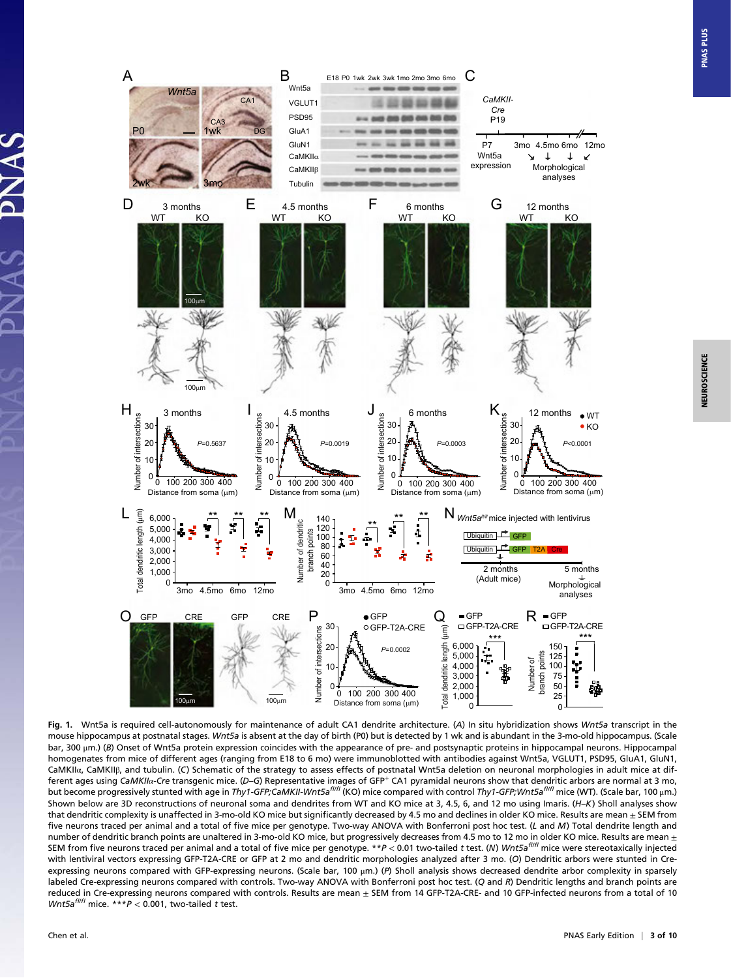*Cre* PSD95 P19 C<sub>A3</sub> P0 1wk GluA1 DG GluN1 **P7** 3mo 4.5mo 6mo 12mo Wnt5a CaMKIIα  $\downarrow$  $\downarrow$  $\leq$ expression Morphological **CaMKII**B analyses Tubulin 3mo D 3 months E 4.5 months F 6 months G 3 months<br>WT K 4.5 months<br>WT KC 12 months 6 months<br>WT KO KO KO WT KO 100μm 100μm Number of intersections  $\overline{X}$ <br> $\overline{C} \circ \overline{C} \stackrel{\doteq}{\overline{C}} \circ \overline{C}$ IJK 3 months 1  $\frac{1}{2}$  4.5 months U  $\frac{1}{2}$  6 months N  $\frac{1}{2}$  12 months N  $\frac{1}{2}$ Number of intersections Number of intersections 30 30 30  $\bullet$  KO 20 20 20 *P*=0.5637 *P*=0.0019 *P*=0.0003 *P*<0.0001 10 10 10 Number Number  $0\frac{1}{6}$ 0 100 200 300 400 0 100 200 300 400 0 100 200 300 400 0 100 200 300 400 Distance from soma (μm) Distance from soma (μm) Distance from soma (μm) Distance from soma (μm) \*\* \*\* L MN \*\* **N** Wnt5a<sup>n/f</sup> mice injected with lentivirus \*\* \*\* \*\* 140 Number of dendritic 100 120 branch points Ubiquitin HA GFP  $80$ <br>60 Ubiquitin <u>LL</u> GFP T2A Cre 40 60 2 months 5 months 20 (Adult mice) Morphological

E18 P0 1wk 2wk 3wk 1mo 2mo 3mo 6mo

*CaMKII-*

C

B Wnt5a

CA1

*Wnt5a*

2wk

H

 $\mathfrak c$ 

Total dendritic length (μm)

 $\Omega$ 1,000 2,000 3,000 4,000 5,000 6,000

O GFP CRE GFP CRE

20 30

of intersections

Number

10 Number of intersections

A

VGLUT<sub>1</sub>



P

3mo 4.5mo 6mo 12mo 3mo 4.5mo 6mo 12mo  $\mathbf 0$ 

> 20 30

GFP-T2A-CRE ● GFP

*P*=0.0002

10 0

**PNAS PLUS** 

analyses

□ GFP-T2A-CRE

۲

150

Number of

\*\*\* \*\*\*<br> 150 - \*\*\*

R GFP

2,000 3,000 4,000 5,000 6,000

length (

 $Q_{\epsilon}$  = GFP-T2A-CRE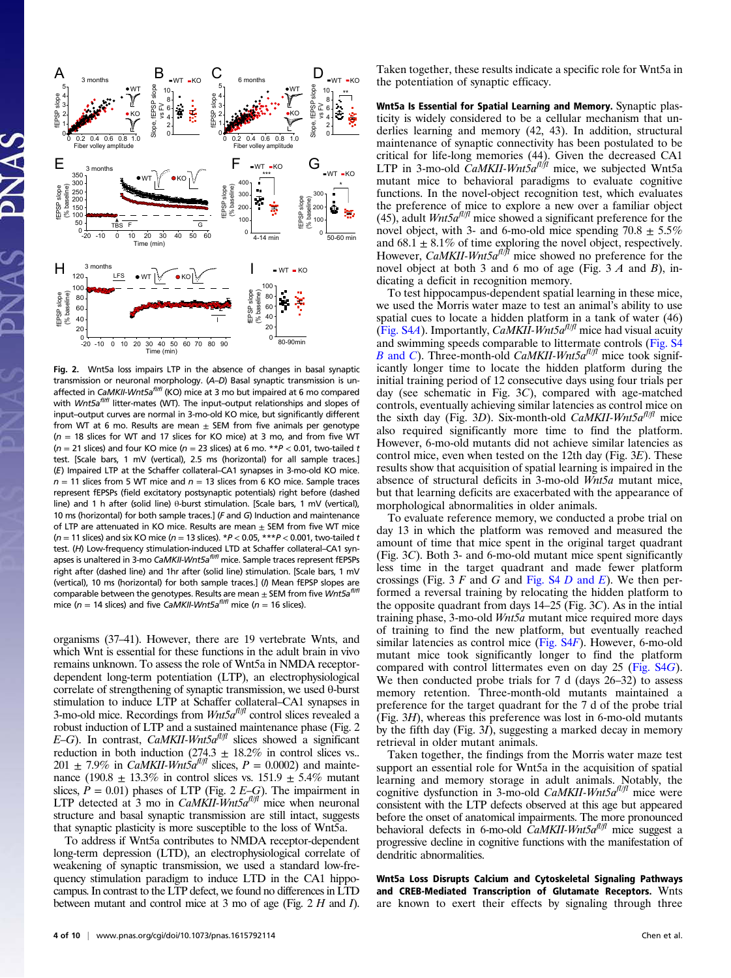

Fig. 2. Wnt5a loss impairs LTP in the absence of changes in basal synaptic transmission or neuronal morphology. (A–D) Basal synaptic transmission is unaffected in CaMKII-Wnt5a<sup>fI/ff</sup> (KO) mice at 3 mo but impaired at 6 mo compared with  $Wnt5a^{fiff}$  litter-mates (WT). The input-output relationships and slopes of input–output curves are normal in 3-mo-old KO mice, but significantly different from WT at 6 mo. Results are mean  $\pm$  SEM from five animals per genotype  $(n = 18$  slices for WT and 17 slices for KO mice) at 3 mo, and from five WT ( $n = 21$  slices) and four KO mice ( $n = 23$  slices) at 6 mo. \*\* $P < 0.01$ , two-tailed t test. [Scale bars, 1 mV (vertical), 2.5 ms (horizontal) for all sample traces.] (E) Impaired LTP at the Schaffer collateral–CA1 synapses in 3-mo-old KO mice.  $n = 11$  slices from 5 WT mice and  $n = 13$  slices from 6 KO mice. Sample traces represent fEPSPs (field excitatory postsynaptic potentials) right before (dashed line) and 1 h after (solid line) θ-burst stimulation. [Scale bars, 1 mV (vertical), 10 ms (horizontal) for both sample traces.] (F and G) Induction and maintenance of LTP are attenuated in KO mice. Results are mean + SEM from five WT mice ( $n = 11$  slices) and six KO mice ( $n = 13$  slices). \* $P < 0.05$ , \*\*\* $P < 0.001$ , two-tailed t test. (H) Low-frequency stimulation-induced LTD at Schaffer collateral–CA1 synapses is unaltered in 3-mo CaMKII-Wnt5a<sup>fliff</sup> mice. Sample traces represent fEPSPs right after (dashed line) and 1hr after (solid line) stimulation. [Scale bars, 1 mV (vertical), 10 ms (horizontal) for both sample traces.] (/) Mean fEPSP slopes are comparable between the genotypes. Results are mean  $\pm$  SEM from five Wnt5a<sup>fliff</sup> mice ( $n = 14$  slices) and five CaMKII-Wnt5a<sup>fl/ff</sup> mice ( $n = 16$  slices).

organisms (37–41). However, there are 19 vertebrate Wnts, and which Wnt is essential for these functions in the adult brain in vivo remains unknown. To assess the role of Wnt5a in NMDA receptordependent long-term potentiation (LTP), an electrophysiological correlate of strengthening of synaptic transmission, we used θ-burst stimulation to induce LTP at Schaffer collateral–CA1 synapses in 3-mo-old mice. Recordings from  $Wnt5a^{fl/f}$  control slices revealed a robust induction of LTP and a sustained maintenance phase (Fig. 2 E–G). In contrast, CaMKII-Wnt5 $a^{t l / \beta}$  slices showed a significant reduction in both induction (274.3  $\pm$  18.2% in control slices vs.. 201  $\pm$  7.9% in *CaMKII-WntSa<sup>fl|fl</sup>* slices,  $P = 0.0002$ ) and maintenance (190.8  $\pm$  13.3% in control slices vs. 151.9  $\pm$  5.4% mutant slices,  $\dot{P} = 0.01$ ) phases of LTP (Fig. 2  $E-\dot{G}$ ). The impairment in LTP detected at 3 mo in CaMKII-Wnt5 $a^{fl/f}$  mice when neuronal structure and basal synaptic transmission are still intact, suggests that synaptic plasticity is more susceptible to the loss of Wnt5a.

To address if Wnt5a contributes to NMDA receptor-dependent long-term depression (LTD), an electrophysiological correlate of weakening of synaptic transmission, we used a standard low-frequency stimulation paradigm to induce LTD in the CA1 hippocampus. In contrast to the LTP defect, we found no differences in LTD between mutant and control mice at 3 mo of age (Fig.  $2 H$  and  $I$ ).

Taken together, these results indicate a specific role for Wnt5a in the potentiation of synaptic efficacy.

Wnt5a Is Essential for Spatial Learning and Memory. Synaptic plasticity is widely considered to be a cellular mechanism that underlies learning and memory (42, 43). In addition, structural maintenance of synaptic connectivity has been postulated to be critical for life-long memories (44). Given the decreased CA1<br>LTP in 3-mo-old *CaMKII-Wnt5a<sup>fl/ff</sup>* mice, we subjected Wnt5a mutant mice to behavioral paradigms to evaluate cognitive functions. In the novel-object recognition test, which evaluates the preference of mice to explore a new over a familiar object (45), adult  $Wnt5a^{fl/f}$  mice showed a significant preference for the novel object, with 3- and 6-mo-old mice spending  $70.8 \pm 5.5\%$ and  $68.1 \pm 8.1\%$  of time exploring the novel object, respectively. However, CaMKII-Wnt5 $a^{f/\n{\theta}}$  mice showed no preference for the novel object at both 3 and 6 mo of age (Fig. 3 A and B), indicating a deficit in recognition memory.

To test hippocampus-dependent spatial learning in these mice, we used the Morris water maze to test an animal's ability to use spatial cues to locate a hidden platform in a tank of water (46) (Fig. S4A). Importantly, CaMKII-Wnt5 $a^{fl/f}$  mice had visual acuity and swimming speeds comparable to littermate controls [\(Fig. S4](http://www.pnas.org/lookup/suppl/doi:10.1073/pnas.1615792114/-/DCSupplemental/pnas.201615792SI.pdf?targetid=nameddest=SF4) B [and](http://www.pnas.org/lookup/suppl/doi:10.1073/pnas.1615792114/-/DCSupplemental/pnas.201615792SI.pdf?targetid=nameddest=SF4) C). Three-month-old CaMKII-Wnt5 $a^{fl/f}$  mice took significantly longer time to locate the hidden platform during the initial training period of 12 consecutive days using four trials per day (see schematic in Fig. 3C), compared with age-matched controls, eventually achieving similar latencies as control mice on the sixth day (Fig. 3D). Six-month-old CaMKII-Wnt5 $a^{fl/fl}$  mice also required significantly more time to find the platform. However, 6-mo-old mutants did not achieve similar latencies as control mice, even when tested on the 12th day (Fig.  $3E$ ). These results show that acquisition of spatial learning is impaired in the absence of structural deficits in 3-mo-old Wnt5a mutant mice, but that learning deficits are exacerbated with the appearance of morphological abnormalities in older animals.

To evaluate reference memory, we conducted a probe trial on day 13 in which the platform was removed and measured the amount of time that mice spent in the original target quadrant (Fig. 3C). Both 3- and 6-mo-old mutant mice spent significantly less time in the target quadrant and made fewer platform crossings (Fig. 3  $F$  and  $G$  and [Fig. S4](http://www.pnas.org/lookup/suppl/doi:10.1073/pnas.1615792114/-/DCSupplemental/pnas.201615792SI.pdf?targetid=nameddest=SF4)  $D$  and  $E$ ). We then performed a reversal training by relocating the hidden platform to the opposite quadrant from days 14–25 (Fig. 3C). As in the intial training phase, 3-mo-old Wnt5a mutant mice required more days of training to find the new platform, but eventually reached similar latencies as control mice ([Fig. S4](http://www.pnas.org/lookup/suppl/doi:10.1073/pnas.1615792114/-/DCSupplemental/pnas.201615792SI.pdf?targetid=nameddest=SF4)F). However, 6-mo-old mutant mice took significantly longer to find the platform compared with control littermates even on day 25 [\(Fig. S4](http://www.pnas.org/lookup/suppl/doi:10.1073/pnas.1615792114/-/DCSupplemental/pnas.201615792SI.pdf?targetid=nameddest=SF4)G). We then conducted probe trials for 7 d (days 26–32) to assess memory retention. Three-month-old mutants maintained a preference for the target quadrant for the 7 d of the probe trial (Fig. 3H), whereas this preference was lost in 6-mo-old mutants by the fifth day (Fig. 3I), suggesting a marked decay in memory retrieval in older mutant animals.

Taken together, the findings from the Morris water maze test support an essential role for Wnt5a in the acquisition of spatial learning and memory storage in adult animals. Notably, the cognitive dysfunction in 3-mo-old CaMKII-Wnt5 $a^{fl/f}$  mice were consistent with the LTP defects observed at this age but appeared before the onset of anatomical impairments. The more pronounced behavioral defects in 6-mo-old  $\hat{C}aMKII-Wnt5a^{fl/f}$  mice suggest a progressive decline in cognitive functions with the manifestation of dendritic abnormalities.

Wnt5a Loss Disrupts Calcium and Cytoskeletal Signaling Pathways and CREB-Mediated Transcription of Glutamate Receptors. Wnts are known to exert their effects by signaling through three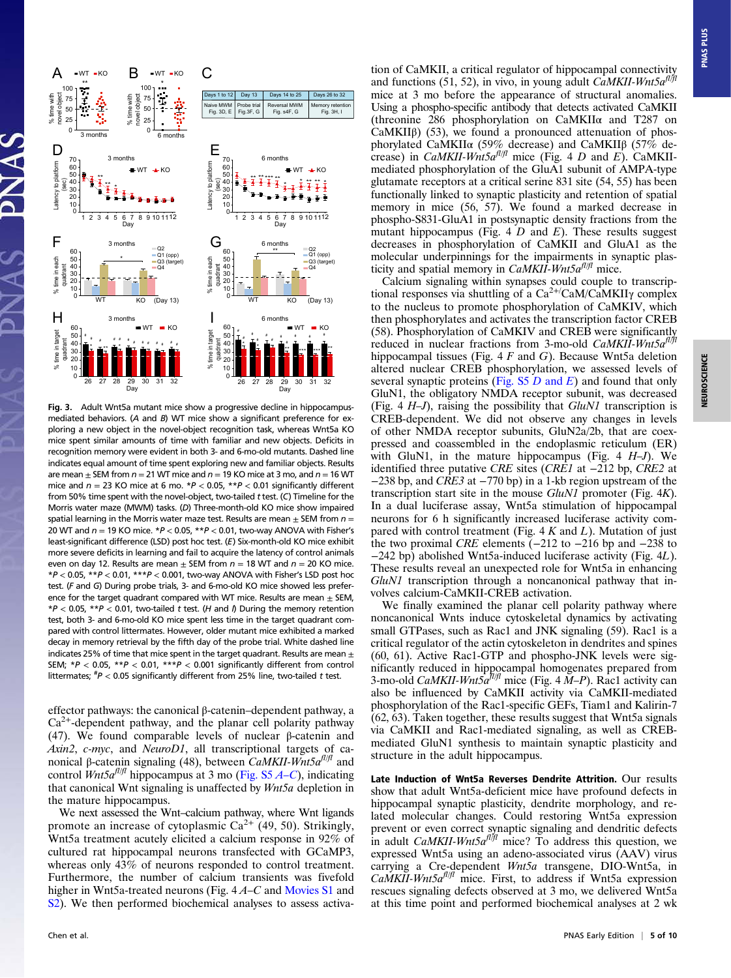

Fig. 3. Adult Wnt5a mutant mice show a progressive decline in hippocampusmediated behaviors. (A and B) WT mice show a significant preference for exploring a new object in the novel-object recognition task, whereas Wnt5a KO mice spent similar amounts of time with familiar and new objects. Deficits in recognition memory were evident in both 3- and 6-mo-old mutants. Dashed line indicates equal amount of time spent exploring new and familiar objects. Results are mean  $\pm$  SEM from  $n = 21$  WT mice and  $n = 19$  KO mice at 3 mo, and  $n = 16$  WT mice and  $n = 23$  KO mice at 6 mo.  $*P < 0.05$ ,  $*P < 0.01$  significantly different from 50% time spent with the novel-object, two-tailed t test. (C) Timeline for the Morris water maze (MWM) tasks. (D) Three-month-old KO mice show impaired spatial learning in the Morris water maze test. Results are mean  $+$  SEM from  $n =$ 20 WT and  $n = 19$  KO mice.  $*P < 0.05$ ,  $**P < 0.01$ , two-way ANOVA with Fisher's least-significant difference (LSD) post hoc test. (E) Six-month-old KO mice exhibit more severe deficits in learning and fail to acquire the latency of control animals even on day 12. Results are mean  $\pm$  SEM from  $n = 18$  WT and  $n = 20$  KO mice.  $*P < 0.05$ ,  $*P < 0.01$ ,  $***P < 0.001$ , two-way ANOVA with Fisher's LSD post hoc test. (F and G) During probe trials, 3- and 6-mo-old KO mice showed less preference for the target quadrant compared with WT mice. Results are mean  $\pm$  SEM,  $*P < 0.05$ ,  $**P < 0.01$ , two-tailed t test. (H and I) During the memory retention test, both 3- and 6-mo-old KO mice spent less time in the target quadrant compared with control littermates. However, older mutant mice exhibited a marked decay in memory retrieval by the fifth day of the probe trial. White dashed line indicates 25% of time that mice spent in the target quadrant. Results are mean  $\pm$ SEM;  $*P < 0.05$ ,  $**P < 0.01$ ,  $***P < 0.001$  significantly different from control littermates;  $^{#}P < 0.05$  significantly different from 25% line, two-tailed t test.

effector pathways: the canonical β-catenin–dependent pathway, a  $Ca<sup>2+</sup>$ -dependent pathway, and the planar cell polarity pathway (47). We found comparable levels of nuclear β-catenin and Axin2, c-myc, and NeuroD1, all transcriptional targets of canonical β-catenin signaling (48), between CaMKII-Wnt5a<sup>fl|fl</sup> and control Wnt5a<sup>fl/fl</sup> hippocampus at 3 mo (Fig. S5  $A-C$  $A-C$ ), indicating that canonical Wnt signaling is unaffected by *Wnt5a* depletion in the mature hippocampus.

We next assessed the Wnt–calcium pathway, where Wnt ligands promote an increase of cytoplasmic  $Ca^{2+}$  (49, 50). Strikingly, Wnt5a treatment acutely elicited a calcium response in 92% of cultured rat hippocampal neurons transfected with GCaMP3, whereas only 43% of neurons responded to control treatment. Furthermore, the number of calcium transients was fivefold higher in Wnt5a-treated neurons (Fig. 4A–C and Movies S1 and S<sub>2</sub>). We then performed biochemical analyses to assess activa**PNAS PLUS** 

tion of CaMKII, a critical regulator of hippocampal connectivity and functions (51, 52), in vivo, in young adult CaMKII-Wnt5 $a^{fl/fl}$ mice at 3 mo before the appearance of structural anomalies. Using a phospho-specific antibody that detects activated CaMKII (threonine 286 phosphorylation on CaMKIIα and T287 on CaMKII $\beta$ ) (53), we found a pronounced attenuation of phosphorylated CaMKIIα (59% decrease) and CaMKIIβ (57% decrease) in *CaMKII-Wnt5a<sup>fI|fl</sup>* mice (Fig. 4 D and E). CaMKIImediated phosphorylation of the GluA1 subunit of AMPA-type glutamate receptors at a critical serine 831 site (54, 55) has been functionally linked to synaptic plasticity and retention of spatial memory in mice (56, 57). We found a marked decrease in phospho-S831-GluA1 in postsynaptic density fractions from the mutant hippocampus (Fig. 4  $D$  and  $E$ ). These results suggest decreases in phosphorylation of CaMKII and GluA1 as the molecular underpinnings for the impairments in synaptic plasticity and spatial memory in  $CaMKII$ -Wnt5 $a^{fl/f}$  mice.

Calcium signaling within synapses could couple to transcriptional responses via shuttling of a  $Ca^{2+}/CaM/CaMKII\gamma$  complex to the nucleus to promote phosphorylation of CaMKIV, which then phosphorylates and activates the transcription factor CREB (58). Phosphorylation of CaMKIV and CREB were significantly reduced in nuclear fractions from 3-mo-old  $CaMKII$ -Wnt5 $a^{fl/fl}$ hippocampal tissues (Fig.  $4 F$  and  $G$ ). Because Wnt5a deletion altered nuclear CREB phosphorylation, we assessed levels of several synaptic proteins (Fig.  $S5 D$  and E) and found that only GluN1, the obligatory NMDA receptor subunit, was decreased (Fig. 4  $H$ –J), raising the possibility that  $GluN1$  transcription is CREB-dependent. We did not observe any changes in levels of other NMDA receptor subunits, GluN2a/2b, that are coexpressed and coassembled in the endoplasmic reticulum (ER) with GluN1, in the mature hippocampus (Fig. 4  $H-J$ ). We identified three putative CRE sites (CRE1 at −212 bp, CRE2 at −238 bp, and CRE3 at −770 bp) in a 1-kb region upstream of the transcription start site in the mouse GluN1 promoter (Fig. 4K). In a dual luciferase assay, Wnt5a stimulation of hippocampal neurons for 6 h significantly increased luciferase activity compared with control treatment (Fig.  $4 K$  and L). Mutation of just the two proximal CRE elements (−212 to −216 bp and −238 to −242 bp) abolished Wnt5a-induced luciferase activity (Fig. 4L). These results reveal an unexpected role for Wnt5a in enhancing GluN1 transcription through a noncanonical pathway that involves calcium-CaMKII-CREB activation.

We finally examined the planar cell polarity pathway where noncanonical Wnts induce cytoskeletal dynamics by activating small GTPases, such as Rac1 and JNK signaling (59). Rac1 is a critical regulator of the actin cytoskeleton in dendrites and spines (60, 61). Active Rac1-GTP and phospho-JNK levels were significantly reduced in hippocampal homogenates prepared from 3-mo-old CaMKII-Wnt $5a^{7/1/1}$  mice (Fig. 4 M-P). Rac1 activity can also be influenced by CaMKII activity via CaMKII-mediated phosphorylation of the Rac1-specific GEFs, Tiam1 and Kalirin-7 (62, 63). Taken together, these results suggest that Wnt5a signals via CaMKII and Rac1-mediated signaling, as well as CREBmediated GluN1 synthesis to maintain synaptic plasticity and structure in the adult hippocampus.

Late Induction of Wnt5a Reverses Dendrite Attrition. Our results show that adult Wnt5a-deficient mice have profound defects in hippocampal synaptic plasticity, dendrite morphology, and related molecular changes. Could restoring Wnt5a expression prevent or even correct synaptic signaling and dendritic defects<br>in adult *CaMKII-Wnt5a<sup>fl/fl</sup>* mice? To address this question, we expressed Wnt5a using an adeno-associated virus (AAV) virus carrying a Cre-dependent Wnt5a transgene, DIO-Wnt5a, in  $Ca\tilde{M}KII-Wnt5a^{fl/fl}$  mice. First, to address if Wnt5a expression rescues signaling defects observed at 3 mo, we delivered Wnt5a at this time point and performed biochemical analyses at 2 wk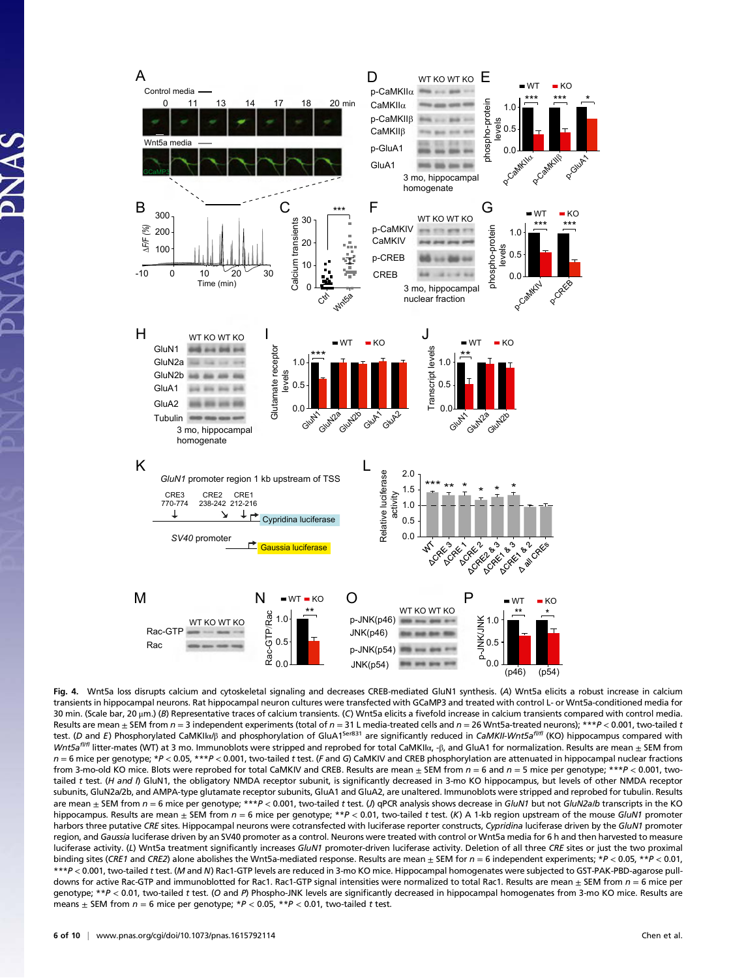

Fig. 4. Wnt5a loss disrupts calcium and cytoskeletal signaling and decreases CREB-mediated GluN1 synthesis. (A) Wnt5a elicits a robust increase in calcium transients in hippocampal neurons. Rat hippocampal neuron cultures were transfected with GCaMP3 and treated with control L- or Wnt5a-conditioned media for 30 min. (Scale bar, 20 µm.) (B) Representative traces of calcium transients. (C) Wnt5a elicits a fivefold increase in calcium transients compared with control media. Results are mean  $\pm$  SEM from  $n = 3$  independent experiments (total of  $n = 31$  L media-treated cells and  $n = 26$  Wnt5a-treated neurons); \*\*\* $P < 0.001$ , two-tailed t test. (D and E) Phosphorylated CaMKII $\alpha$ <sup>B</sup> and phosphorylation of GluA1<sup>ser831</sup> are significantly reduced in CaMKII-Wnt5a<sup>fl/fl</sup> (KO) hippocampus compared with *Wnt5a<sup>fI/f1</sup>* litter-mates (WT) at 3 mo. Immunoblots were stripped and reprobed for total CaMKIIα, -β, and GluA1 for normalization. Results are mean  $\pm$  SEM from  $n = 6$  mice per genotype; \*P < 0.05, \*\*\*P < 0.001, two-tailed t test. (F and G) CaMKIV and CREB phosphorylation are attenuated in hippocampal nuclear fractions from 3-mo-old KO mice. Blots were reprobed for total CaMKIV and CREB. Results are mean  $\pm$  SEM from  $n = 6$  and  $n = 5$  mice per genotype; \*\*\*P < 0.001, twotailed t test. (H and I) GluN1, the obligatory NMDA receptor subunit, is significantly decreased in 3-mo KO hippocampus, but levels of other NMDA receptor subunits, GluN2a/2b, and AMPA-type glutamate receptor subunits, GluA1 and GluA2, are unaltered. Immunoblots were stripped and reprobed for tubulin. Results are mean  $\pm$  SEM from  $n = 6$  mice per genotype; \*\*\*P < 0.001, two-tailed t test. (J) qPCR analysis shows decrease in GluN1 but not GluN2alb transcripts in the KO hippocampus. Results are mean  $\pm$  SEM from  $n = 6$  mice per genotype; \*\*P < 0.01, two-tailed t test. (K) A 1-kb region upstream of the mouse GluN1 promoter harbors three putative CRE sites. Hippocampal neurons were cotransfected with luciferase reporter constructs, Cypridina luciferase driven by the GluN1 promoter region, and Gaussia luciferase driven by an SV40 promoter as a control. Neurons were treated with control or Wnt5a media for 6 h and then harvested to measure luciferase activity. (L) Wnt5a treatment significantly increases GluN1 promoter-driven luciferase activity. Deletion of all three CRE sites or just the two proximal binding sites (CRE1 and CRE2) alone abolishes the Wnt5a-mediated response. Results are mean  $\pm$  SEM for  $n = 6$  independent experiments; \*P < 0.05, \*\*P < 0.01, \*\*\*P < 0.001, two-tailed t test. (M and N) Rac1-GTP levels are reduced in 3-mo KO mice. Hippocampal homogenates were subjected to GST-PAK-PBD-agarose pulldowns for active Rac-GTP and immunoblotted for Rac1. Rac1-GTP signal intensities were normalized to total Rac1. Results are mean  $\pm$  SEM from  $n = 6$  mice per genotype;  $*P < 0.01$ , two-tailed t test. (O and P) Phospho-JNK levels are significantly decreased in hippocampal homogenates from 3-mo KO mice. Results are means  $\pm$  SEM from  $n = 6$  mice per genotype;  $*P < 0.05$ ,  $*P < 0.01$ , two-tailed t test.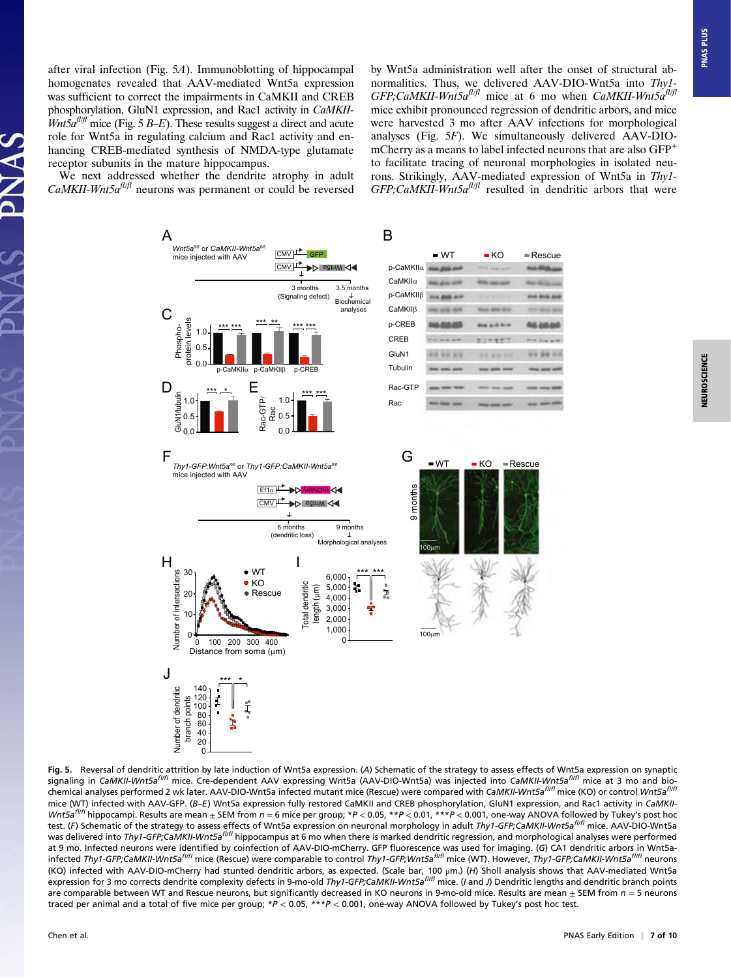after viral infection (Fig. 5A). Immunoblotting of hippocampal homogenates revealed that AAV-mediated Wnt5a expression was sufficient to correct the impairments in CaMKII and CREB phosphorylation, GluN1 expression, and Rac1 activity in CaMKII- $Wnt5a^{fl/f}$  mice (Fig. 5 B–E). These results suggest a direct and acute role for Wnt5a in regulating calcium and Rac1 activity and enhancing CREB-mediated synthesis of NMDA-type glutamate receptor subunits in the mature hippocampus.

We next addressed whether the dendrite atrophy in adult  $CaMKII-Wnt5a<sup>f1/f1</sup>$  neurons was permanent or could be reversed

by Wnt5a administration well after the onset of structural abnormalities. Thus, we delivered AAV-DIO-Wnt5a into Thy1- GFP;CaMKII-Wnt5 $a^{fl/fl}$  mice at 6 mo when CaMKII-Wnt5 $a^{fl/fl}$ mice exhibit pronounced regression of dendritic arbors, and mice were harvested 3 mo after AAV infections for morphological analyses (Fig. 5F). We simultaneously delivered AAV-DIOmCherry as a means to label infected neurons that are also GFP<sup>+</sup> to facilitate tracing of neuronal morphologies in isolated neurons. Strikingly, AAV-mediated expression of Wnt5a in Thy1-  $GFP$ ; CaMKII-Wnt5a<sup>fl|fl</sup> resulted in dendritic arbors that were



Fig. 5. Reversal of dendritic attrition by late induction of Wnt5a expression. (A) Schematic of the strategy to assess effects of Wnt5a expression on synaptic signaling in CaMKII-Wnt5a<sup>fl/fl</sup> mice. Cre-dependent AAV expressing Wnt5a (AAV-DIO-Wnt5a) was injected into CaMKII-Wnt5a<sup>fl/fl</sup> mice at 3 mo and biochemical analyses performed 2 wk later. AAV-DIO-Wnt5a infected mutant mice (Rescue) were compared with CaMKII-Wnt5a<sup>fl/fl</sup> mice (KO) or control Wnt5a<sup>fl/fl</sup> mice (WT) infected with AAV-GFP. (B-E) Wnt5a expression fully restored CaMKII and CREB phosphorylation, GluN1 expression, and Rac1 activity in CaMKII-Wnt5a<sup>fl/f1</sup> hippocampi. Results are mean ± SEM from  $n = 6$  mice per group; \*P < 0.05, \*\*P < 0.01, \*\*\*P < 0.001, one-way ANOVA followed by Tukey's post hoc test. (F) Schematic of the strategy to assess effects of Wnt5a expression on neuronal morphology in adult Thy1-GFP;CaMKII-Wnt5a<sup>fI/fl</sup> mice. AAV-DIO-Wnt5a was delivered into Thy1-GFP;CaMKII-Wnt5a<sup>fl/fl</sup> hippocampus at 6 mo when there is marked dendritic regression, and morphological analyses were performed at 9 mo. Infected neurons were identified by coinfection of AAV-DIO-mCherry. GFP fluorescence was used for imaging. (G) CA1 dendritic arbors in Wnt5ainfected Thy1-GFP;CaMKII-Wnt5a<sup>flifl</sup> mice (Rescue) were comparable to control Thy1-GFP;Wnt5a<sup>flifl</sup> mice (WT). However, Thy1-GFP;CaMKII-Wnt5a<sup>flifl</sup> neurons (KO) infected with AAV-DIO-mCherry had stunted dendritic arbors, as expected. (Scale bar, 100 μm.) (H) Sholl analysis shows that AAV-mediated Wnt5a expression for 3 mo corrects dendrite complexity defects in 9-mo-old Thy1-GFP;CaMKII-Wnt5a<sup>fl/fl</sup> mice. (I and J) Dendritic lengths and dendritic branch points are comparable between WT and Rescue neurons, but significantly decreased in KO neurons in 9-mo-old mice. Results are mean  $\pm$  SEM from  $n = 5$  neurons traced per animal and a total of five mice per group; \*P < 0.05, \*\*\*P < 0.001, one-way ANOVA followed by Tukey's post hoc test.

**PNAS PLUS**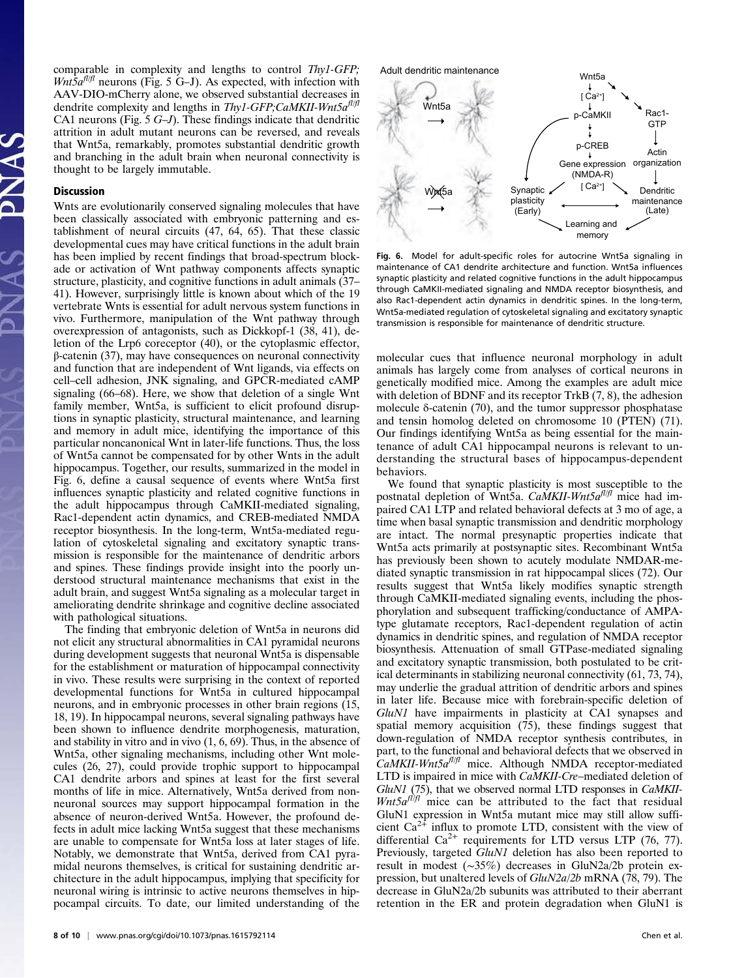comparable in complexity and lengths to control Thy1-GFP;  $Wnt\bar{5}a^{fl/f}$  neurons (Fig. 5 G–J). As expected, with infection with AAV-DIO-mCherry alone, we observed substantial decreases in dendrite complexity and lengths in Thy1-GFP;CaMKII-Wnt5 $a^{fl/fl}$ CA1 neurons (Fig. 5 G–J). These findings indicate that dendritic attrition in adult mutant neurons can be reversed, and reveals that Wnt5a, remarkably, promotes substantial dendritic growth and branching in the adult brain when neuronal connectivity is thought to be largely immutable.

#### Discussion

Wnts are evolutionarily conserved signaling molecules that have been classically associated with embryonic patterning and establishment of neural circuits (47, 64, 65). That these classic developmental cues may have critical functions in the adult brain has been implied by recent findings that broad-spectrum blockade or activation of Wnt pathway components affects synaptic structure, plasticity, and cognitive functions in adult animals (37– 41). However, surprisingly little is known about which of the 19 vertebrate Wnts is essential for adult nervous system functions in vivo. Furthermore, manipulation of the Wnt pathway through overexpression of antagonists, such as Dickkopf-1 (38, 41), deletion of the Lrp6 coreceptor (40), or the cytoplasmic effector, β-catenin (37), may have consequences on neuronal connectivity and function that are independent of Wnt ligands, via effects on cell–cell adhesion, JNK signaling, and GPCR-mediated cAMP signaling (66–68). Here, we show that deletion of a single Wnt family member, Wnt5a, is sufficient to elicit profound disruptions in synaptic plasticity, structural maintenance, and learning and memory in adult mice, identifying the importance of this particular noncanonical Wnt in later-life functions. Thus, the loss of Wnt5a cannot be compensated for by other Wnts in the adult hippocampus. Together, our results, summarized in the model in Fig. 6, define a causal sequence of events where Wnt5a first influences synaptic plasticity and related cognitive functions in the adult hippocampus through CaMKII-mediated signaling, Rac1-dependent actin dynamics, and CREB-mediated NMDA receptor biosynthesis. In the long-term, Wnt5a-mediated regulation of cytoskeletal signaling and excitatory synaptic transmission is responsible for the maintenance of dendritic arbors and spines. These findings provide insight into the poorly understood structural maintenance mechanisms that exist in the adult brain, and suggest Wnt5a signaling as a molecular target in ameliorating dendrite shrinkage and cognitive decline associated with pathological situations.

The finding that embryonic deletion of Wnt5a in neurons did not elicit any structural abnormalities in CA1 pyramidal neurons during development suggests that neuronal Wnt5a is dispensable for the establishment or maturation of hippocampal connectivity in vivo. These results were surprising in the context of reported developmental functions for Wnt5a in cultured hippocampal neurons, and in embryonic processes in other brain regions (15, 18, 19). In hippocampal neurons, several signaling pathways have been shown to influence dendrite morphogenesis, maturation, and stability in vitro and in vivo (1, 6, 69). Thus, in the absence of Wnt5a, other signaling mechanisms, including other Wnt molecules (26, 27), could provide trophic support to hippocampal CA1 dendrite arbors and spines at least for the first several months of life in mice. Alternatively, Wnt5a derived from nonneuronal sources may support hippocampal formation in the absence of neuron-derived Wnt5a. However, the profound defects in adult mice lacking Wnt5a suggest that these mechanisms are unable to compensate for Wnt5a loss at later stages of life. Notably, we demonstrate that Wnt5a, derived from CA1 pyramidal neurons themselves, is critical for sustaining dendritic architecture in the adult hippocampus, implying that specificity for neuronal wiring is intrinsic to active neurons themselves in hippocampal circuits. To date, our limited understanding of the



Fig. 6. Model for adult-specific roles for autocrine Wnt5a signaling in maintenance of CA1 dendrite architecture and function. Wnt5a influences synaptic plasticity and related cognitive functions in the adult hippocampus through CaMKII-mediated signaling and NMDA receptor biosynthesis, and also Rac1-dependent actin dynamics in dendritic spines. In the long-term, Wnt5a-mediated regulation of cytoskeletal signaling and excitatory synaptic transmission is responsible for maintenance of dendritic structure.

molecular cues that influence neuronal morphology in adult animals has largely come from analyses of cortical neurons in genetically modified mice. Among the examples are adult mice with deletion of BDNF and its receptor TrkB  $(7, 8)$ , the adhesion molecule δ-catenin (70), and the tumor suppressor phosphatase and tensin homolog deleted on chromosome 10 (PTEN) (71). Our findings identifying Wnt5a as being essential for the maintenance of adult CA1 hippocampal neurons is relevant to understanding the structural bases of hippocampus-dependent behaviors.

We found that synaptic plasticity is most susceptible to the postnatal depletion of Wnt5a. CaMKII-Wnt5 $a^{fl/f}$  mice had impaired CA1 LTP and related behavioral defects at 3 mo of age, a time when basal synaptic transmission and dendritic morphology are intact. The normal presynaptic properties indicate that Wnt5a acts primarily at postsynaptic sites. Recombinant Wnt5a has previously been shown to acutely modulate NMDAR-mediated synaptic transmission in rat hippocampal slices (72). Our results suggest that Wnt5a likely modifies synaptic strength through CaMKII-mediated signaling events, including the phosphorylation and subsequent trafficking/conductance of AMPAtype glutamate receptors, Rac1-dependent regulation of actin dynamics in dendritic spines, and regulation of NMDA receptor biosynthesis. Attenuation of small GTPase-mediated signaling and excitatory synaptic transmission, both postulated to be critical determinants in stabilizing neuronal connectivity (61, 73, 74), may underlie the gradual attrition of dendritic arbors and spines in later life. Because mice with forebrain-specific deletion of GluN1 have impairments in plasticity at CA1 synapses and spatial memory acquisition (75), these findings suggest that down-regulation of NMDA receptor synthesis contributes, in part, to the functional and behavioral defects that we observed in  $CaMKII-What5a<sup>f1/f1</sup>$  mice. Although NMDA receptor-mediated LTD is impaired in mice with CaMKII-Cre–mediated deletion of GluN1 (75), that we observed normal LTD responses in CaMKII- $Wnt5a<sup>f</sup>)/f$  mice can be attributed to the fact that residual GluN1 expression in Wnt5a mutant mice may still allow sufficient  $Ca^{2+}$  influx to promote LTD, consistent with the view of differential  $Ca^{2+}$  requirements for LTD versus LTP (76, 77). Previously, targeted GluN1 deletion has also been reported to result in modest (∼35%) decreases in GluN2a/2b protein expression, but unaltered levels of GluN2a/2b mRNA (78, 79). The decrease in GluN2a/2b subunits was attributed to their aberrant retention in the ER and protein degradation when GluN1 is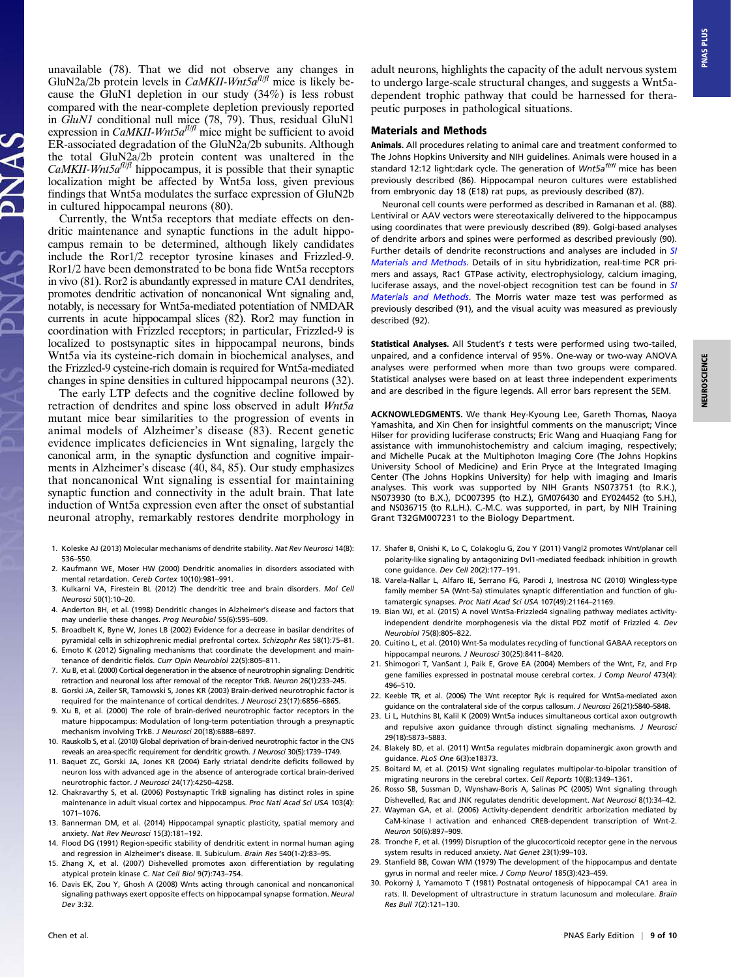unavailable (78). That we did not observe any changes in GluN2a/2b protein levels in *CaMKII-Wnt5a<sup>fl/f</sup>* mice is likely because the GluN1 depletion in our study (34%) is less robust compared with the near-complete depletion previously reported in GluN1 conditional null mice (78, 79). Thus, residual GluN1 expression in CaMKII-Wnt5 $a^{fl/f}$  mice might be sufficient to avoid ER-associated degradation of the GluN2a/2b subunits. Although the total GluN2a/2b protein content was unaltered in the *CaMKII-Wnt5a<sup>fI/ft</sup>* hippocampus, it is possible that their synaptic localization might be affected by Wnt5a loss, given previous findings that Wnt5a modulates the surface expression of GluN2b in cultured hippocampal neurons (80).

Currently, the Wnt5a receptors that mediate effects on dendritic maintenance and synaptic functions in the adult hippocampus remain to be determined, although likely candidates include the Ror1/2 receptor tyrosine kinases and Frizzled-9. Ror1/2 have been demonstrated to be bona fide Wnt5a receptors in vivo (81). Ror2 is abundantly expressed in mature CA1 dendrites, promotes dendritic activation of noncanonical Wnt signaling and, notably, is necessary for Wnt5a-mediated potentiation of NMDAR currents in acute hippocampal slices (82). Ror2 may function in coordination with Frizzled receptors; in particular, Frizzled-9 is localized to postsynaptic sites in hippocampal neurons, binds Wnt5a via its cysteine-rich domain in biochemical analyses, and the Frizzled-9 cysteine-rich domain is required for Wnt5a-mediated changes in spine densities in cultured hippocampal neurons (32).

The early LTP defects and the cognitive decline followed by retraction of dendrites and spine loss observed in adult *Wnt5a* mutant mice bear similarities to the progression of events in animal models of Alzheimer's disease (83). Recent genetic evidence implicates deficiencies in Wnt signaling, largely the canonical arm, in the synaptic dysfunction and cognitive impairments in Alzheimer's disease (40, 84, 85). Our study emphasizes that noncanonical Wnt signaling is essential for maintaining synaptic function and connectivity in the adult brain. That late induction of Wnt5a expression even after the onset of substantial neuronal atrophy, remarkably restores dendrite morphology in

- 1. Koleske AJ (2013) Molecular mechanisms of dendrite stability. Nat Rev Neurosci 14(8): 536–550.
- 2. Kaufmann WE, Moser HW (2000) Dendritic anomalies in disorders associated with mental retardation. Cereb Cortex 10(10):981–991.
- 3. Kulkarni VA, Firestein BL (2012) The dendritic tree and brain disorders. Mol Cell Neurosci 50(1):10–20.
- 4. Anderton BH, et al. (1998) Dendritic changes in Alzheimer's disease and factors that may underlie these changes. Prog Neurobiol 55(6):595–609.
- 5. Broadbelt K, Byne W, Jones LB (2002) Evidence for a decrease in basilar dendrites of pyramidal cells in schizophrenic medial prefrontal cortex. Schizophr Res 58(1):75–81.
- 6. Emoto K (2012) Signaling mechanisms that coordinate the development and maintenance of dendritic fields. Curr Opin Neurobiol 22(5):805–811.
- 7. Xu B, et al. (2000) Cortical degeneration in the absence of neurotrophin signaling: Dendritic retraction and neuronal loss after removal of the receptor TrkB. Neuron 26(1):233–245. 8. Gorski JA, Zeiler SR, Tamowski S, Jones KR (2003) Brain-derived neurotrophic factor is
- required for the maintenance of cortical dendrites. J Neurosci 23(17):6856–6865.
- 9. Xu B, et al. (2000) The role of brain-derived neurotrophic factor receptors in the mature hippocampus: Modulation of long-term potentiation through a presynaptic mechanism involving TrkB. J Neurosci 20(18):6888–6897.
- 10. Rauskolb S, et al. (2010) Global deprivation of brain-derived neurotrophic factor in the CNS reveals an area-specific requirement for dendritic growth. J Neurosci 30(5):1739–1749.
- 11. Baquet ZC, Gorski JA, Jones KR (2004) Early striatal dendrite deficits followed by neuron loss with advanced age in the absence of anterograde cortical brain-derived neurotrophic factor. J Neurosci 24(17):4250–4258.
- 12. Chakravarthy S, et al. (2006) Postsynaptic TrkB signaling has distinct roles in spine maintenance in adult visual cortex and hippocampus. Proc Natl Acad Sci USA 103(4): 1071–1076.
- 13. Bannerman DM, et al. (2014) Hippocampal synaptic plasticity, spatial memory and anxiety. Nat Rev Neurosci 15(3):181–192.
- 14. Flood DG (1991) Region-specific stability of dendritic extent in normal human aging and regression in Alzheimer's disease. II. Subiculum. Brain Res 540(1-2):83–95.
- 15. Zhang X, et al. (2007) Dishevelled promotes axon differentiation by regulating atypical protein kinase C. Nat Cell Biol 9(7):743–754.
- 16. Davis EK, Zou Y, Ghosh A (2008) Wnts acting through canonical and noncanonical signaling pathways exert opposite effects on hippocampal synapse formation. Neural Dev 3:32.

adult neurons, highlights the capacity of the adult nervous system to undergo large-scale structural changes, and suggests a Wnt5adependent trophic pathway that could be harnessed for therapeutic purposes in pathological situations.

### Materials and Methods

Animals. All procedures relating to animal care and treatment conformed to The Johns Hopkins University and NIH guidelines. Animals were housed in a standard 12:12 light:dark cycle. The generation of Wnt5a<sup>fl/fl</sup> mice has been previously described (86). Hippocampal neuron cultures were established from embryonic day 18 (E18) rat pups, as previously described (87).

Neuronal cell counts were performed as described in Ramanan et al. (88). Lentiviral or AAV vectors were stereotaxically delivered to the hippocampus using coordinates that were previously described (89). Golgi-based analyses of dendrite arbors and spines were performed as described previously (90). Further details of dendrite reconstructions and analyses are included in SI [Materials and Methods](http://www.pnas.org/lookup/suppl/doi:10.1073/pnas.1615792114/-/DCSupplemental/pnas.201615792SI.pdf?targetid=nameddest=STXT). Details of in situ hybridization, real-time PCR primers and assays, Rac1 GTPase activity, electrophysiology, calcium imaging, luciferase assays, and the novel-object recognition test can be found in [SI](http://www.pnas.org/lookup/suppl/doi:10.1073/pnas.1615792114/-/DCSupplemental/pnas.201615792SI.pdf?targetid=nameddest=STXT) [Materials and Methods](http://www.pnas.org/lookup/suppl/doi:10.1073/pnas.1615792114/-/DCSupplemental/pnas.201615792SI.pdf?targetid=nameddest=STXT). The Morris water maze test was performed as previously described (91), and the visual acuity was measured as previously described (92).

Statistical Analyses. All Student's t tests were performed using two-tailed, unpaired, and a confidence interval of 95%. One-way or two-way ANOVA analyses were performed when more than two groups were compared. Statistical analyses were based on at least three independent experiments and are described in the figure legends. All error bars represent the SEM.

ACKNOWLEDGMENTS. We thank Hey-Kyoung Lee, Gareth Thomas, Naoya Yamashita, and Xin Chen for insightful comments on the manuscript; Vince Hilser for providing luciferase constructs; Eric Wang and Huaqiang Fang for assistance with immunohistochemistry and calcium imaging, respectively; and Michelle Pucak at the Multiphoton Imaging Core (The Johns Hopkins University School of Medicine) and Erin Pryce at the Integrated Imaging Center (The Johns Hopkins University) for help with imaging and Imaris analyses. This work was supported by NIH Grants NS073751 (to R.K.), NS073930 (to B.X.), DC007395 (to H.Z.), GM076430 and EY024452 (to S.H.), and NS036715 (to R.L.H.). C.-M.C. was supported, in part, by NIH Training Grant T32GM007231 to the Biology Department.

- 17. Shafer B, Onishi K, Lo C, Colakoglu G, Zou Y (2011) Vangl2 promotes Wnt/planar cell polarity-like signaling by antagonizing Dvl1-mediated feedback inhibition in growth cone guidance. Dev Cell 20(2):177–191.
- 18. Varela-Nallar L, Alfaro IE, Serrano FG, Parodi J, Inestrosa NC (2010) Wingless-type family member 5A (Wnt-5a) stimulates synaptic differentiation and function of glutamatergic synapses. Proc Natl Acad Sci USA 107(49):21164–21169.
- 19. Bian WJ, et al. (2015) A novel Wnt5a-Frizzled4 signaling pathway mediates activityindependent dendrite morphogenesis via the distal PDZ motif of Frizzled 4. Dev Neurobiol 75(8):805–822.
- 20. Cuitino L, et al. (2010) Wnt-5a modulates recycling of functional GABAA receptors on hippocampal neurons. J Neurosci 30(25):8411–8420.
- 21. Shimogori T, VanSant J, Paik E, Grove EA (2004) Members of the Wnt, Fz, and Frp gene families expressed in postnatal mouse cerebral cortex. J Comp Neurol 473(4): 496–510.
- 22. Keeble TR, et al. (2006) The Wnt receptor Ryk is required for Wnt5a-mediated axon guidance on the contralateral side of the corpus callosum. J Neurosci 26(21):5840-5848.
- 23. Li L, Hutchins BI, Kalil K (2009) Wnt5a induces simultaneous cortical axon outgrowth and repulsive axon guidance through distinct signaling mechanisms. J Neurosci 29(18):5873–5883.
- 24. Blakely BD, et al. (2011) Wnt5a regulates midbrain dopaminergic axon growth and guidance. PLoS One 6(3):e18373.
- 25. Boitard M, et al. (2015) Wnt signaling regulates multipolar-to-bipolar transition of migrating neurons in the cerebral cortex. Cell Reports 10(8):1349–1361.
- 26. Rosso SB, Sussman D, Wynshaw-Boris A, Salinas PC (2005) Wnt signaling through Dishevelled, Rac and JNK regulates dendritic development. Nat Neurosci 8(1):34–42.
- 27. Wayman GA, et al. (2006) Activity-dependent dendritic arborization mediated by CaM-kinase I activation and enhanced CREB-dependent transcription of Wnt-2. Neuron 50(6):897–909.
- 28. Tronche F, et al. (1999) Disruption of the glucocorticoid receptor gene in the nervous system results in reduced anxiety. Nat Genet 23(1):99–103.
- 29. Stanfield BB, Cowan WM (1979) The development of the hippocampus and dentate gyrus in normal and reeler mice. J Comp Neurol 185(3):423–459.
- 30. Pokorný J, Yamamoto T (1981) Postnatal ontogenesis of hippocampal CA1 area in rats. II. Development of ultrastructure in stratum lacunosum and moleculare. Brain Res Bull 7(2):121–130.